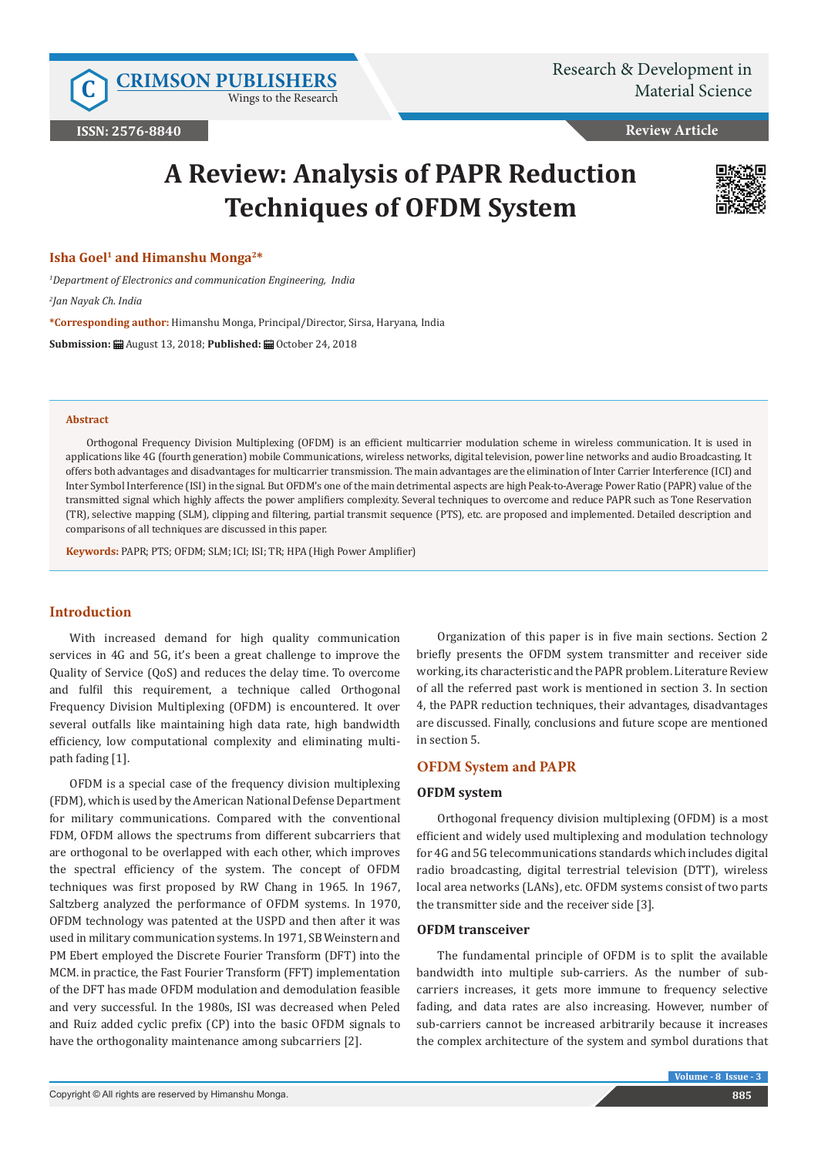Wings to the Research

**Review Article**

# **A Review: Analysis of PAPR Reduction Techniques of OFDM System**



## **Isha Goel1 and Himanshu Monga2\***

*1 Department of Electronics and communication Engineering, India*

*2 Jan Nayak Ch. India*

**\*Corresponding author:** Himanshu Monga, Principal/Director, Sirsa, Haryana, India

**Submission:** August 13, 2018; **Published:** October 24, 2018

#### **Abstract**

Orthogonal Frequency Division Multiplexing (OFDM) is an efficient multicarrier modulation scheme in wireless communication. It is used in applications like 4G (fourth generation) mobile Communications, wireless networks, digital television, power line networks and audio Broadcasting. It offers both advantages and disadvantages for multicarrier transmission. The main advantages are the elimination of Inter Carrier Interference (ICI) and Inter Symbol Interference (ISI) in the signal. But OFDM's one of the main detrimental aspects are high Peak-to-Average Power Ratio (PAPR) value of the transmitted signal which highly affects the power amplifiers complexity. Several techniques to overcome and reduce PAPR such as Tone Reservation (TR), selective mapping (SLM), clipping and filtering, partial transmit sequence (PTS), etc. are proposed and implemented. Detailed description and comparisons of all techniques are discussed in this paper.

**Keywords:** PAPR; PTS; OFDM; SLM; ICI; ISI; TR; HPA (High Power Amplifier)

# **Introduction**

With increased demand for high quality communication services in 4G and 5G, it's been a great challenge to improve the Quality of Service (QoS) and reduces the delay time. To overcome and fulfil this requirement, a technique called Orthogonal Frequency Division Multiplexing (OFDM) is encountered. It over several outfalls like maintaining high data rate, high bandwidth efficiency, low computational complexity and eliminating multipath fading [1].

OFDM is a special case of the frequency division multiplexing (FDM), which is used by the American National Defense Department for military communications. Compared with the conventional FDM, OFDM allows the spectrums from different subcarriers that are orthogonal to be overlapped with each other, which improves the spectral efficiency of the system. The concept of OFDM techniques was first proposed by RW Chang in 1965. In 1967, Saltzberg analyzed the performance of OFDM systems. In 1970, OFDM technology was patented at the USPD and then after it was used in military communication systems. In 1971, SB Weinstern and PM Ebert employed the Discrete Fourier Transform (DFT) into the MCM. in practice, the Fast Fourier Transform (FFT) implementation of the DFT has made OFDM modulation and demodulation feasible and very successful. In the 1980s, ISI was decreased when Peled and Ruiz added cyclic prefix (CP) into the basic OFDM signals to have the orthogonality maintenance among subcarriers [2].

Organization of this paper is in five main sections. Section 2 briefly presents the OFDM system transmitter and receiver side working, its characteristic and the PAPR problem. Literature Review of all the referred past work is mentioned in section 3. In section 4, the PAPR reduction techniques, their advantages, disadvantages are discussed. Finally, conclusions and future scope are mentioned in section 5.

## **OFDM System and PAPR**

## **OFDM system**

Orthogonal frequency division multiplexing (OFDM) is a most efficient and widely used multiplexing and modulation technology for 4G and 5G telecommunications standards which includes digital radio broadcasting, digital terrestrial television (DTT), wireless local area networks (LANs), etc. OFDM systems consist of two parts the transmitter side and the receiver side [3].

# **OFDM transceiver**

The fundamental principle of OFDM is to split the available bandwidth into multiple sub-carriers. As the number of subcarriers increases, it gets more immune to frequency selective fading, and data rates are also increasing. However, number of sub-carriers cannot be increased arbitrarily because it increases the complex architecture of the system and symbol durations that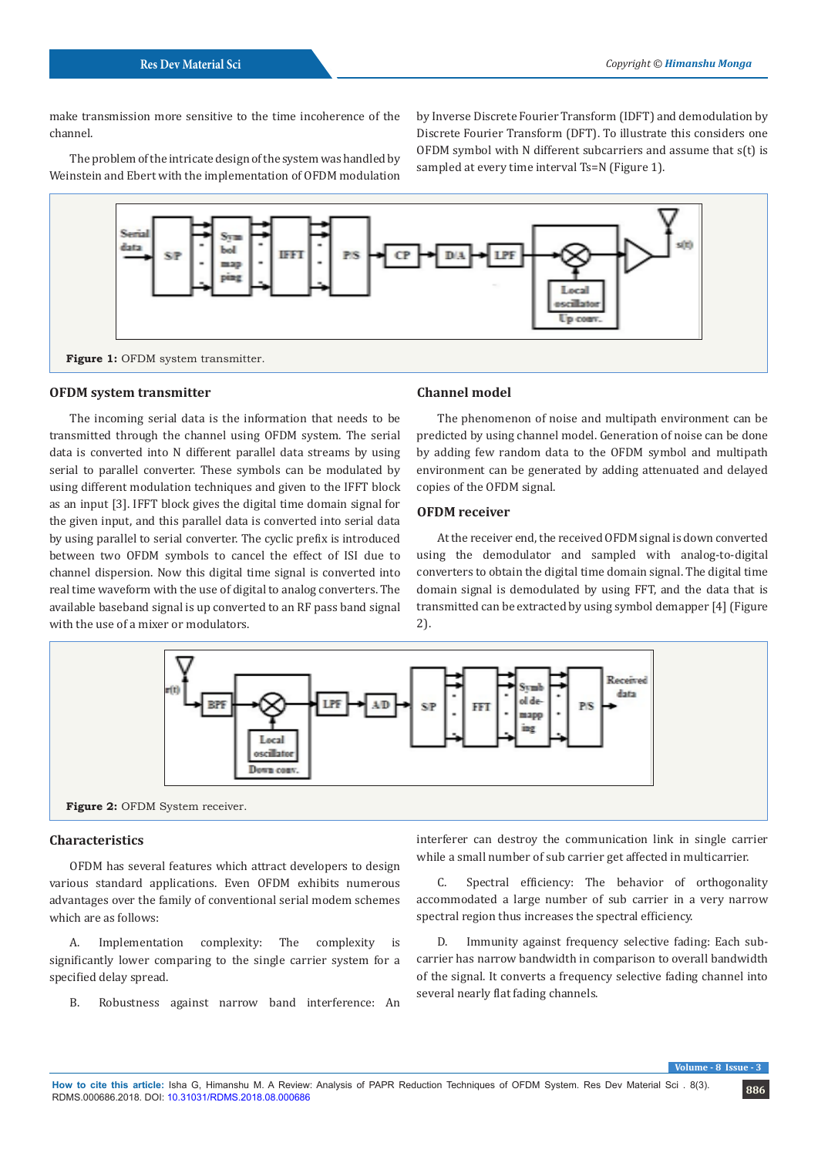make transmission more sensitive to the time incoherence of the channel.

The problem of the intricate design of the system was handled by Weinstein and Ebert with the implementation of OFDM modulation

by Inverse Discrete Fourier Transform (IDFT) and demodulation by Discrete Fourier Transform (DFT). To illustrate this considers one OFDM symbol with N different subcarriers and assume that s(t) is sampled at every time interval Ts=N (Figure 1).



#### **OFDM system transmitter**

The incoming serial data is the information that needs to be transmitted through the channel using OFDM system. The serial data is converted into N different parallel data streams by using serial to parallel converter. These symbols can be modulated by using different modulation techniques and given to the IFFT block as an input [3]. IFFT block gives the digital time domain signal for the given input, and this parallel data is converted into serial data by using parallel to serial converter. The cyclic prefix is introduced between two OFDM symbols to cancel the effect of ISI due to channel dispersion. Now this digital time signal is converted into real time waveform with the use of digital to analog converters. The available baseband signal is up converted to an RF pass band signal with the use of a mixer or modulators.

#### **Channel model**

The phenomenon of noise and multipath environment can be predicted by using channel model. Generation of noise can be done by adding few random data to the OFDM symbol and multipath environment can be generated by adding attenuated and delayed copies of the OFDM signal.

#### **OFDM receiver**

At the receiver end, the received OFDM signal is down converted using the demodulator and sampled with analog-to-digital converters to obtain the digital time domain signal. The digital time domain signal is demodulated by using FFT, and the data that is transmitted can be extracted by using symbol demapper [4] (Figure 2).



# **Characteristics**

OFDM has several features which attract developers to design various standard applications. Even OFDM exhibits numerous advantages over the family of conventional serial modem schemes which are as follows:

A. Implementation complexity: The complexity is significantly lower comparing to the single carrier system for a specified delay spread.

B. Robustness against narrow band interference: An

interferer can destroy the communication link in single carrier while a small number of sub carrier get affected in multicarrier.

C. Spectral efficiency: The behavior of orthogonality accommodated a large number of sub carrier in a very narrow spectral region thus increases the spectral efficiency.

D. Immunity against frequency selective fading: Each subcarrier has narrow bandwidth in comparison to overall bandwidth of the signal. It converts a frequency selective fading channel into several nearly flat fading channels.

**Volume - 8**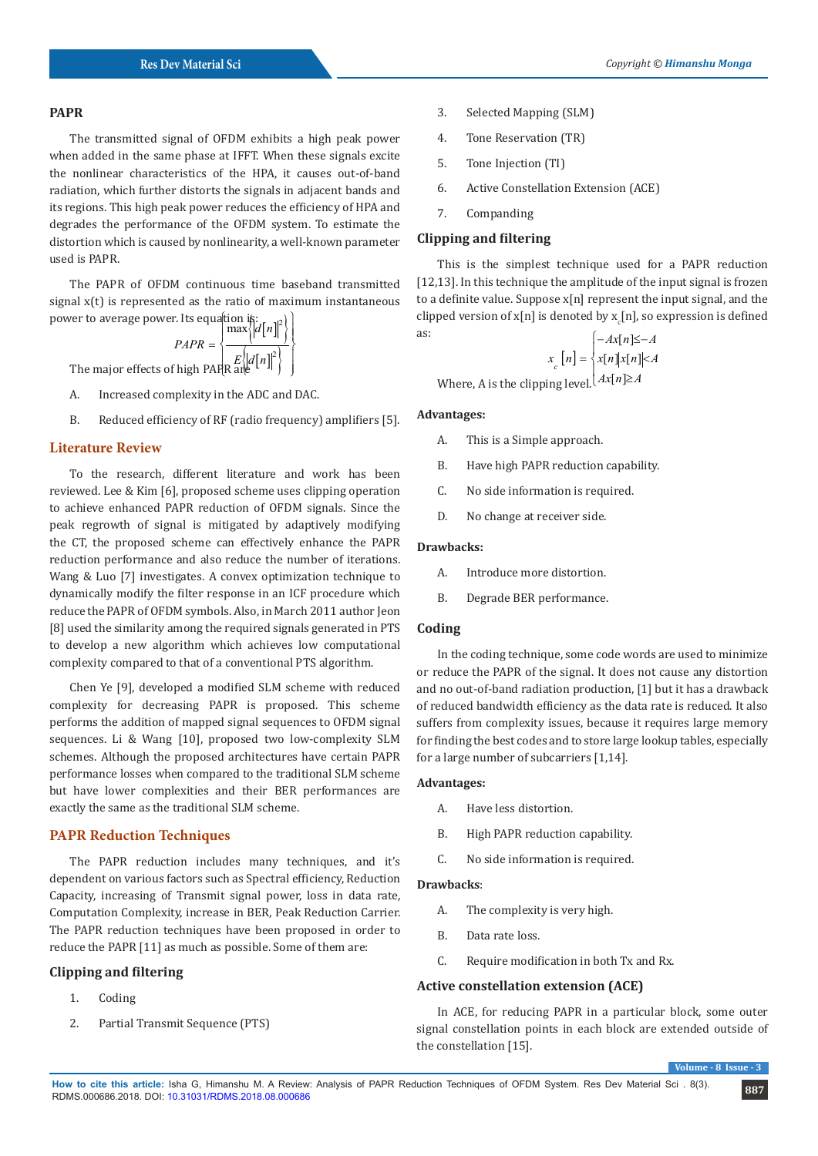## **PAPR**

The transmitted signal of OFDM exhibits a high peak power when added in the same phase at IFFT. When these signals excite the nonlinear characteristics of the HPA, it causes out-of-band radiation, which further distorts the signals in adjacent bands and its regions. This high peak power reduces the efficiency of HPA and degrades the performance of the OFDM system. To estimate the distortion which is caused by nonlinearity, a well-known parameter used is PAPR.

The PAPR of OFDM continuous time baseband transmitted signal x(t) is represented as the ratio of maximum instantaneous

power to average power. Its equation is:  
\n
$$
PAPR = \left\{\n\begin{array}{c}\n\text{max} \left|\left|d[n]\right|^2\right| \\
\text{max} \left|\left|d[n]\right|^2\right|\n\end{array}\n\right\}
$$
\nThe major effects of high PAPR = 
$$
\left\{\n\begin{array}{c}\n\text{max} \left|\left|d[n]\right|^2\right| \\
\text{min} \left|\left|d[n]\right|^2\right|\n\end{array}\n\right\}
$$

The major effects of high PAPR are  $\left\{ E \left\{ \left| d \left[ n \right] \right|^2 \right\} \right\}$ 

- A. Increased complexity in the ADC and DAC.
- B. Reduced efficiency of RF (radio frequency) amplifiers [5].

# **Literature Review**

To the research, different literature and work has been reviewed. Lee & Kim [6], proposed scheme uses clipping operation to achieve enhanced PAPR reduction of OFDM signals. Since the peak regrowth of signal is mitigated by adaptively modifying the CT, the proposed scheme can effectively enhance the PAPR reduction performance and also reduce the number of iterations. Wang & Luo [7] investigates. A convex optimization technique to dynamically modify the filter response in an ICF procedure which reduce the PAPR of OFDM symbols. Also, in March 2011 author Jeon [8] used the similarity among the required signals generated in PTS to develop a new algorithm which achieves low computational complexity compared to that of a conventional PTS algorithm.

Chen Ye [9], developed a modified SLM scheme with reduced complexity for decreasing PAPR is proposed. This scheme performs the addition of mapped signal sequences to OFDM signal sequences. Li & Wang [10], proposed two low-complexity SLM schemes. Although the proposed architectures have certain PAPR performance losses when compared to the traditional SLM scheme but have lower complexities and their BER performances are exactly the same as the traditional SLM scheme.

## **PAPR Reduction Techniques**

The PAPR reduction includes many techniques, and it's dependent on various factors such as Spectral efficiency, Reduction Capacity, increasing of Transmit signal power, loss in data rate, Computation Complexity, increase in BER, Peak Reduction Carrier. The PAPR reduction techniques have been proposed in order to reduce the PAPR [11] as much as possible. Some of them are:

#### **Clipping and filtering**

- 1. Coding
- 2. Partial Transmit Sequence (PTS)
- 3. Selected Mapping (SLM)
- 4. Tone Reservation (TR)
- 5. Tone Injection (TI)
- 6. Active Constellation Extension (ACE)
- 7. Companding

# **Clipping and filtering**

This is the simplest technique used for a PAPR reduction [12,13]. In this technique the amplitude of the input signal is frozen to a definite value. Suppose x[n] represent the input signal, and the clipped version of  $x[n]$  is denoted by  $x_c[n]$ , so expression is defined as:

$$
x_c[n] = \begin{cases} -Ax[n] \le -A \\ x[n] |x[n]| \le A \end{cases}
$$
  
Where, A is the clipping level. 
$$
Ax[n] \ge A
$$

**Advantages:** 

- A. This is a Simple approach.
- B. Have high PAPR reduction capability.
- C. No side information is required.
- D. No change at receiver side.

#### **Drawbacks:**

- A. Introduce more distortion.
- B. Degrade BER performance.

#### **Coding**

In the coding technique, some code words are used to minimize or reduce the PAPR of the signal. It does not cause any distortion and no out-of-band radiation production, [1] but it has a drawback of reduced bandwidth efficiency as the data rate is reduced. It also suffers from complexity issues, because it requires large memory for finding the best codes and to store large lookup tables, especially for a large number of subcarriers [1,14].

# **Advantages:**

- A. Have less distortion.
- B. High PAPR reduction capability.
- C. No side information is required.

# **Drawbacks**:

- A. The complexity is very high.
- B. Data rate loss.
- C. Require modification in both Tx and Rx.

## **Active constellation extension (ACE)**

In ACE, for reducing PAPR in a particular block, some outer signal constellation points in each block are extended outside of the constellation [15].

 $V$ **Volume**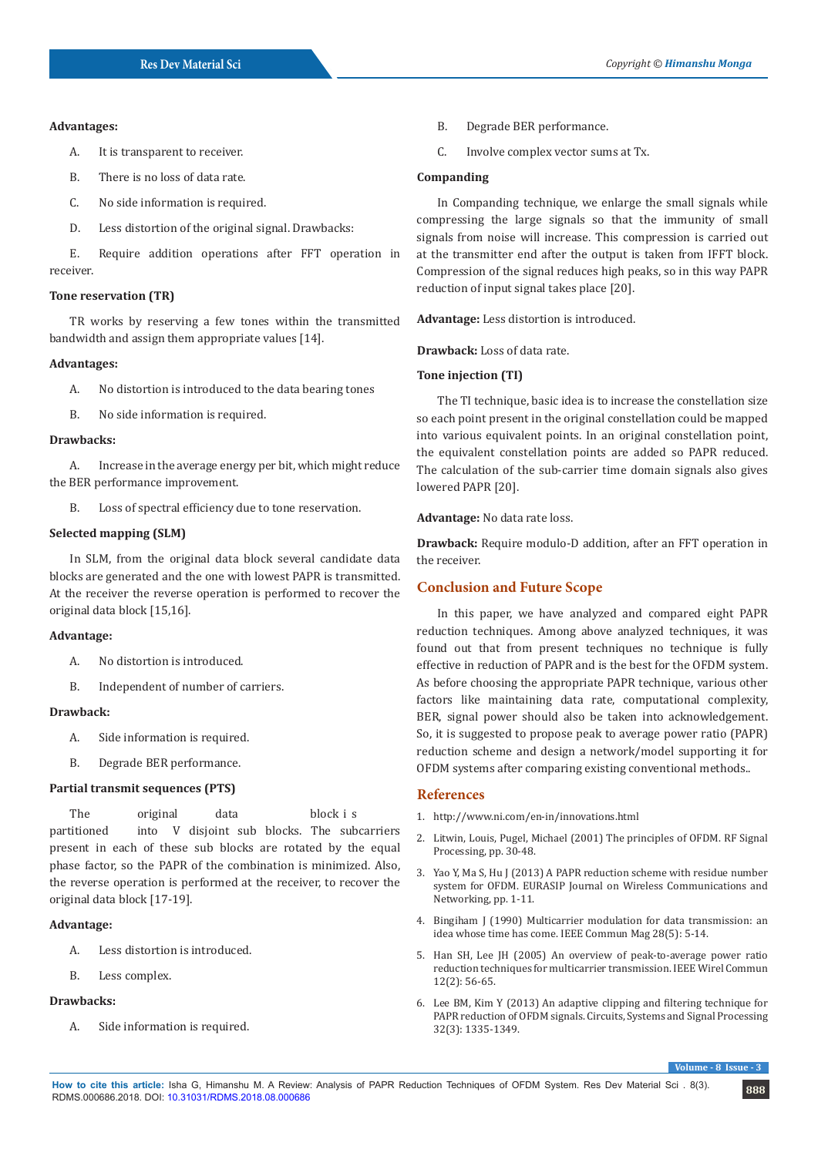### **Advantages:**

- A. It is transparent to receiver.
- B. There is no loss of data rate.
- C. No side information is required.
- D. Less distortion of the original signal. Drawbacks:

E. Require addition operations after FFT operation in receiver.

# **Tone reservation (TR)**

TR works by reserving a few tones within the transmitted bandwidth and assign them appropriate values [14].

#### **Advantages:**

A. No distortion is introduced to the data bearing tones

B. No side information is required.

## **Drawbacks:**

A. Increase in the average energy per bit, which might reduce the BER performance improvement.

B. Loss of spectral efficiency due to tone reservation.

# **Selected mapping (SLM)**

In SLM, from the original data block several candidate data blocks are generated and the one with lowest PAPR is transmitted. At the receiver the reverse operation is performed to recover the original data block [15,16].

## **Advantage:**

- A. No distortion is introduced.
- B. Independent of number of carriers.

# **Drawback:**

- A. Side information is required.
- B. Degrade BER performance.

## **Partial transmit sequences (PTS)**

The original data block i s

partitioned into V disjoint sub blocks. The subcarriers present in each of these sub blocks are rotated by the equal phase factor, so the PAPR of the combination is minimized. Also, the reverse operation is performed at the receiver, to recover the original data block [17-19].

# **Advantage:**

- A. Less distortion is introduced.
- B. Less complex.

#### **Drawbacks:**

A. Side information is required.

- B. Degrade BER performance.
- C. Involve complex vector sums at Tx.

## **Companding**

In Companding technique, we enlarge the small signals while compressing the large signals so that the immunity of small signals from noise will increase. This compression is carried out at the transmitter end after the output is taken from IFFT block. Compression of the signal reduces high peaks, so in this way PAPR reduction of input signal takes place [20].

**Advantage:** Less distortion is introduced.

**Drawback:** Loss of data rate.

#### **Tone injection (TI)**

The TI technique, basic idea is to increase the constellation size so each point present in the original constellation could be mapped into various equivalent points. In an original constellation point, the equivalent constellation points are added so PAPR reduced. The calculation of the sub-carrier time domain signals also gives lowered PAPR [20].

**Advantage:** No data rate loss.

**Drawback:** Require modulo-D addition, after an FFT operation in the receiver.

# **Conclusion and Future Scope**

In this paper, we have analyzed and compared eight PAPR reduction techniques. Among above analyzed techniques, it was found out that from present techniques no technique is fully effective in reduction of PAPR and is the best for the OFDM system. As before choosing the appropriate PAPR technique, various other factors like maintaining data rate, computational complexity, BER, signal power should also be taken into acknowledgement. So, it is suggested to propose peak to average power ratio (PAPR) reduction scheme and design a network/model supporting it for OFDM systems after comparing existing conventional methods..

# **References**

- 1. <http://www.ni.com/en-in/innovations.html>
- 2. [Litwin, Louis, Pugel, Michael \(2001\) The principles of OFDM. RF Signal](https://pdfs.semanticscholar.org/219c/68521dc18995db46c8e68f689fa11a24c489.pdf) [Processing, pp. 30-48.](https://pdfs.semanticscholar.org/219c/68521dc18995db46c8e68f689fa11a24c489.pdf)
- 3. [Yao Y, Ma S, Hu J \(2013\) A PAPR reduction scheme with residue number](https://jwcn-eurasipjournals.springeropen.com/articles/10.1186/1687-1499-2013-156) [system for OFDM. EURASIP Journal on Wireless Communications and](https://jwcn-eurasipjournals.springeropen.com/articles/10.1186/1687-1499-2013-156) [Networking, pp. 1-11.](https://jwcn-eurasipjournals.springeropen.com/articles/10.1186/1687-1499-2013-156)
- 4. [Bingiham J \(1990\) Multicarrier modulation for data transmission: an](https://ieeexplore.ieee.org/document/54342) [idea whose time has come. IEEE Commun Mag 28\(5\): 5-14.](https://ieeexplore.ieee.org/document/54342)
- 5. [Han SH, Lee JH \(2005\) An overview of peak-to-average power ratio](https://ieeexplore.ieee.org/document/1421929) [reduction techniques for multicarrier transmission. IEEE Wirel Commun](https://ieeexplore.ieee.org/document/1421929) [12\(2\): 56-65.](https://ieeexplore.ieee.org/document/1421929)
- 6. [Lee BM, Kim Y \(2013\) An adaptive clipping and filtering technique for](https://link.springer.com/article/10.1007/s00034-012-9512-0) [PAPR reduction of OFDM signals. Circuits, Systems and Signal Processing](https://link.springer.com/article/10.1007/s00034-012-9512-0) [32\(3\): 1335-1349.](https://link.springer.com/article/10.1007/s00034-012-9512-0)

**Volume - 8**